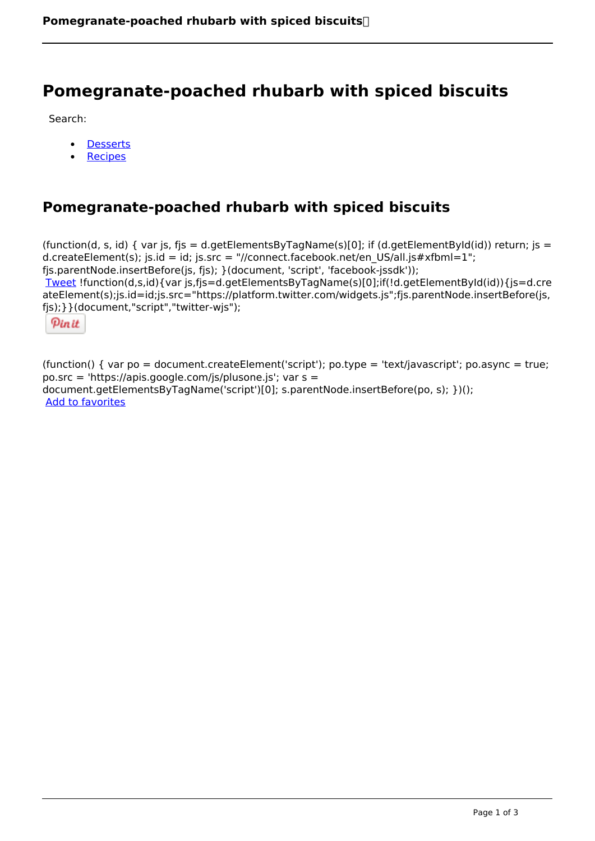## **Pomegranate-poached rhubarb with spiced biscuits**

Search:

- **[Desserts](https://www.naturalhealthmag.com.au/nourish/desserts)**  $\bullet$
- [Recipes](https://www.naturalhealthmag.com.au/nourish/recipes)

## **Pomegranate-poached rhubarb with spiced biscuits**

(function(d, s, id) { var js, fjs = d.getElementsByTagName(s)[0]; if (d.getElementById(id)) return; js = d.createElement(s); js.id = id; js.src = "//connect.facebook.net/en\_US/all.js#xfbml=1"; fjs.parentNode.insertBefore(js, fjs); }(document, 'script', 'facebook-jssdk')); [Tweet](https://twitter.com/share) !function(d,s,id){var js,fjs=d.getElementsByTagName(s)[0];if(!d.getElementById(id)){js=d.cre ateElement(s);js.id=id;js.src="https://platform.twitter.com/widgets.js";fjs.parentNode.insertBefore(js, fjs);}}(document,"script","twitter-wjs");

Pinit

(function() { var po = document.createElement('script'); po.type = 'text/javascript'; po.async = true; po.src = 'https://apis.google.com/js/plusone.js'; var s = document.getElementsByTagName('script')[0]; s.parentNode.insertBefore(po, s); })(); Add to favorites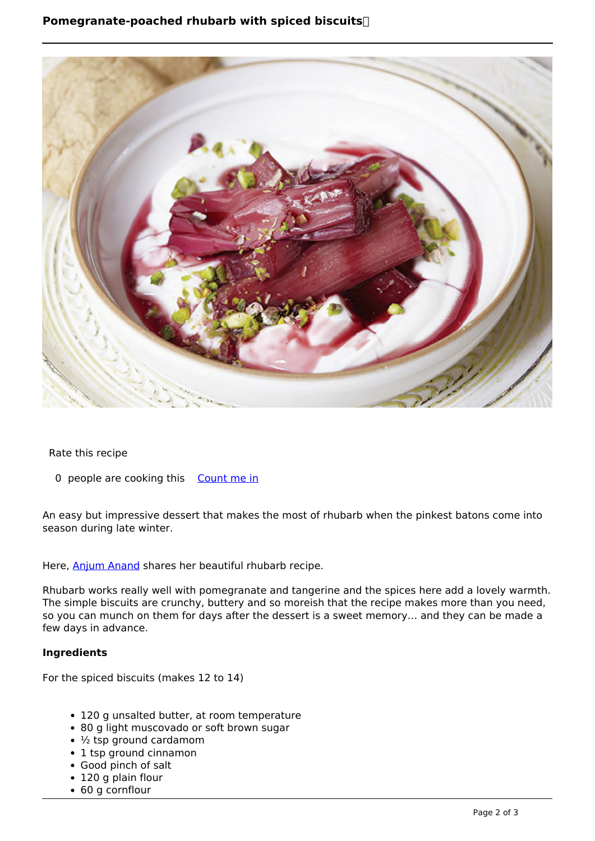

Rate this recipe

0 people are cooking this [Count me in](https://www.naturalhealthmag.com.au/flag/flag/favorites/2087?destination=printpdf%2F2087&token=49f5e2c132397f4997c4cfffb707e675)

An easy but impressive dessert that makes the most of rhubarb when the pinkest batons come into season during late winter.

Here, [Anjum Anand](http://anjumanand.co.uk/) shares her beautiful rhubarb recipe.

Rhubarb works really well with pomegranate and tangerine and the spices here add a lovely warmth. The simple biscuits are crunchy, buttery and so moreish that the recipe makes more than you need, so you can munch on them for days after the dessert is a sweet memory… and they can be made a few days in advance.

## **Ingredients**

For the spiced biscuits (makes 12 to 14)

- 120 g unsalted butter, at room temperature
- 80 g light muscovado or soft brown sugar
- $\cdot$   $\frac{1}{2}$  tsp ground cardamom
- 1 tsp ground cinnamon
- Good pinch of salt
- 120 g plain flour
- 60 g cornflour